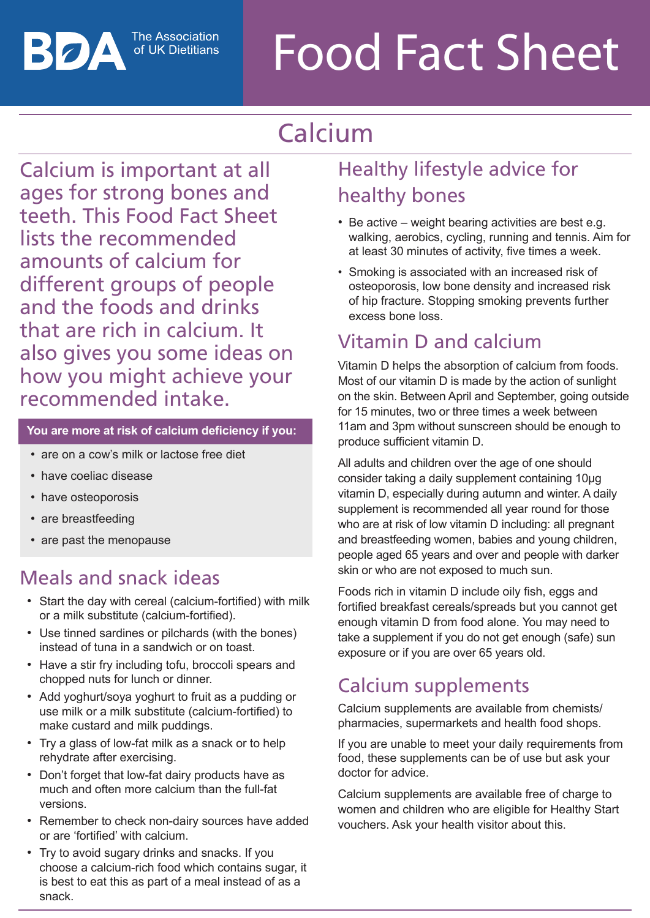The Association of UK Dietitians

# Food Fact Sheet

## Calcium

Calcium is important at all ages for strong bones and teeth. This Food Fact Sheet lists the recommended amounts of calcium for different groups of people and the foods and drinks that are rich in calcium. It also gives you some ideas on how you might achieve your recommended intake.

#### **You are more at risk of calcium deficiency if you:**

- are on a cow's milk or lactose free diet
- have coeliac disease
- have osteoporosis

ВОД

- are breastfeeding
- are past the menopause

### Meals and snack ideas

- Start the day with cereal (calcium-fortified) with milk or a milk substitute (calcium-fortified).
- Use tinned sardines or pilchards (with the bones) instead of tuna in a sandwich or on toast.
- Have a stir fry including tofu, broccoli spears and chopped nuts for lunch or dinner.
- • Add yoghurt/soya yoghurt to fruit as a pudding or use milk or a milk substitute (calcium-fortified) to make custard and milk puddings.
- Try a glass of low-fat milk as a snack or to help rehydrate after exercising.
- Don't forget that low-fat dairy products have as much and often more calcium than the full-fat versions.
- Remember to check non-dairy sources have added or are 'fortified' with calcium.
- Try to avoid sugary drinks and snacks. If you choose a calcium-rich food which contains sugar, it is best to eat this as part of a meal instead of as a snack.

## Healthy lifestyle advice for healthy bones

- $\bullet$  Be active weight bearing activities are best e.g. walking, aerobics, cycling, running and tennis. Aim for at least 30 minutes of activity, five times a week.
- Smoking is associated with an increased risk of osteoporosis, low bone density and increased risk of hip fracture. Stopping smoking prevents further excess bone loss.

## Vitamin D and calcium

Vitamin D helps the absorption of calcium from foods. Most of our vitamin D is made by the action of sunlight on the skin. Between April and September, going outside for 15 minutes, two or three times a week between 11am and 3pm without sunscreen should be enough to produce sufficient vitamin D.

All adults and children over the age of one should consider taking a daily supplement containing 10µg vitamin D, especially during autumn and winter. A daily supplement is recommended all year round for those who are at risk of low vitamin D including: all pregnant and breastfeeding women, babies and young children, people aged 65 years and over and people with darker skin or who are not exposed to much sun.

Foods rich in vitamin D include oily fish, eggs and fortified breakfast cereals/spreads but you cannot get enough vitamin D from food alone. You may need to take a supplement if you do not get enough (safe) sun exposure or if you are over 65 years old.

## Calcium supplements

Calcium supplements are available from chemists/ pharmacies, supermarkets and health food shops.

If you are unable to meet your daily requirements from food, these supplements can be of use but ask your doctor for advice.

Calcium supplements are available free of charge to women and children who are eligible for Healthy Start vouchers. Ask your health visitor about this.